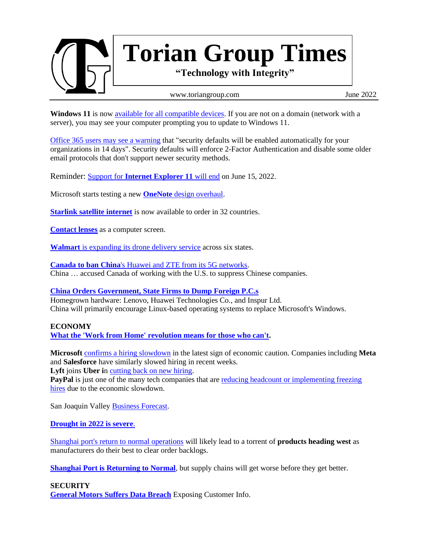

**Windows 11** is now [available for all compatible devices.](https://www.ghacks.net/2022/05/19/windows-11-now-available-for-all-compatible-devices-according-to-microsoft/) If you are not on a domain (network with a server), you may see your computer prompting you to update to Windows 11.

[Office 365 users may see](https://www.zdnet.com/article/microsoft-were-rolling-out-these-security-settings-to-protect-millions-of-accounts-heres-whats-changing/) a warning that "security defaults will be enabled automatically for your organizations in 14 days". Security defaults will enforce 2-Factor Authentication and disable some older email protocols that don't support newer security methods.

Reminder: **Support for [Internet Explorer 11](https://www.ghacks.net/2022/03/18/internet-explorer-11-retires-in-three-months/)** will end on June 15, 2022.

Microsoft starts testing a new **OneNote** [design overhaul.](https://www.theverge.com/2022/5/24/23139312/microsoft-onenote-design-update-build-2022)

**[Starlink satellite internet](https://www.engadget.com/space-xs-starlink-satellite-internet-is-now-available-to-order-in-32-countries-102003489.html)** is now available to order in 32 countries.

**[Contact lenses](https://www.bbc.com/news/business-61318460)** as a computer screen.

**Walmart** [is expanding its drone delivery service](https://www.engadget.com/walmart-droneup-expansion-164104899.html) across six states.

**Canada to ban China**['s Huawei and ZTE from its 5G networks.](https://www.bbc.com/news/business-61517729) China … accused Canada of working with the U.S. to suppress Chinese companies.

## **[China Orders Government, State Firms to Dump Foreign P.C.s](https://www.bnnbloomberg.ca/china-orders-government-state-firms-to-dump-foreign-pcs-1.1761899)**

Homegrown hardware: Lenovo, Huawei Technologies Co., and Inspur Ltd. China will primarily encourage Linux-based operating systems to replace Microsoft's Windows.

### **ECONOMY**

**[What the 'Work from Home' revolution means for those who can't.](https://www.engadget.com/hitting-the-books-going-remote-matthew-e-kahn-uc-press-140025976.html)**

**Microsoft** [confirms a hiring slowdown](https://www.geekwire.com/2022/microsoft-confirms-office-and-windows-hiring-slowdown-in-latest-sign-of-economic-caution/) in the latest sign of economic caution. Companies including **Meta** and **Salesforce** have similarly slowed hiring in recent weeks.

Lyft joins Uber in [cutting back on new hiring.](https://www.engadget.com/lyft-joins-uber-in-cutting-back-on-new-hiring-055129536.html)

PayPal is just one of the many tech companies that are reducing headcount or implementing freezing [hires](https://www.engadget.com/paypal-layoffs-053738188.htm) due to the economic slowdown.

San Joaquin Valley [Business Forecast.](https://www.csustan.edu/sjvbf)

#### **[Drought in 2022 is severe](https://droughtmonitor.unl.edu/CurrentMap/StateDroughtMonitor.aspx?CA)**.

[Shanghai port's return to normal operations](https://www.mckinsey.com/industries/travel-logistics-and-infrastructure/our-insights/how-shanghais-lockdowns-are-affecting-global-supply-chains) will likely lead to a torrent of **products heading west** as manufacturers do their best to clear order backlogs.

**Shanghai [Port is Returning to Normal](https://www.marinelink.com/news/worlds-biggest-port-returning-normal-496832)**, but supply chains will get worse before they get better.

#### **SECURITY**

**[General Motors Suffers Data Breach](https://community.spiceworks.com/topic/2359366-cyber-news-rundown-general-motors-suffers-data-breach-exposing-customer-info)** Exposing Customer Info.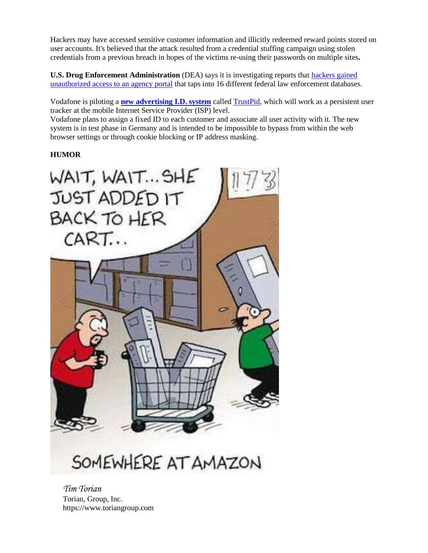Hackers may have accessed sensitive customer information and illicitly redeemed reward points stored on user accounts. It's believed that the attack resulted from a credential stuffing campaign using stolen credentials from a previous breach in hopes of the victims re-using their passwords on multiple sites**.**

**U.S. Drug Enforcement Administration** (DEA) says it is investigating reports that [hackers gained](https://krebsonsecurity.com/2022/05/dea-investigating-breach-of-law-enforcement-data-portal/)  [unauthorized access to an agency portal](https://krebsonsecurity.com/2022/05/dea-investigating-breach-of-law-enforcement-data-portal/) that taps into 16 different federal law enforcement databases.

Vodafone is piloting a **[new advertising I.D. system](https://www.bleepingcomputer.com/news/security/vodafone-plans-carrier-level-user-tracking-for-targeted-ads/)** called [TrustPid,](https://trustpid.com/keeptheinternetfree) which will work as a persistent user tracker at the mobile Internet Service Provider (ISP) level.

Vodafone plans to assign a fixed ID to each customer and associate all user activity with it. The new system is in test phase in Germany and is intended to be impossible to bypass from within the web browser settings or through cookie blocking or IP address masking.

# **HUMOR**



SOMEWHERE AT AMAZON

*Tim Torian* Torian, Group, Inc. https://www.toriangroup.com